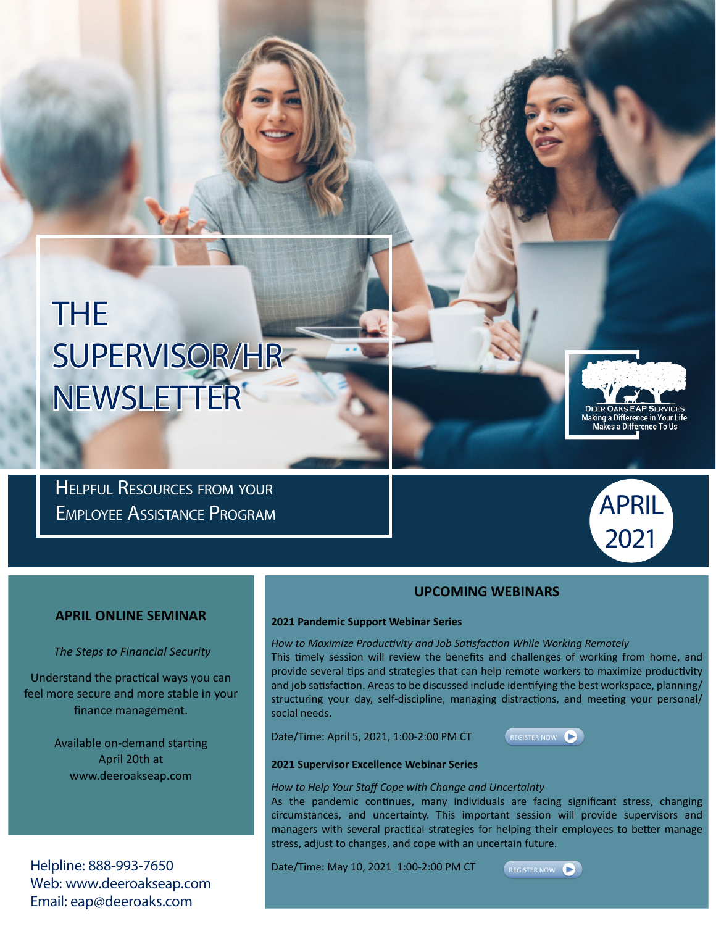# THE SUPERVISOR/HR NEWSLETTER

Helpful Resources from your Employee Assistance Program



Making a Difference in Your Life<br>Makes a Difference To Us

#### **APRIL ONLINE SEMINAR**

 *The Steps to Financial Security* 

Understand the practical ways you can feel more secure and more stable in your finance management.

> Available on-demand starting April 20th at www.deeroakseap.com

Helpline: 888-993-7650 Web: www.deeroakseap.com Email: eap@deeroaks.com

#### **UPCOMING WEBINARS**

#### **2021 Pandemic Support Webinar Series**

*How to Maximize Productivity and Job Satisfaction While Working Remotely*

This timely session will review the benefits and challenges of working from home, and provide several tips and strategies that can help remote workers to maximize productivity and job satisfaction. Areas to be discussed include identifying the best workspace, planning/ structuring your day, self-discipline, managing distractions, and meeting your personal/ social needs.

Date/Time: April 5, 2021, 1:00-2:00 PM CT



#### **2021 Supervisor Excellence Webinar Series**

*How to Help Your Staff Cope with Change and Uncertainty*

As the pandemic continues, many individuals are facing significant stress, changing circumstances, and uncertainty. This important session will provide supervisors and managers with several practical strategies for helping their employees to better manage stress, adjust to changes, and cope with an uncertain future.

Date/Time: May 10, 2021 1:00-2:00 PM CT

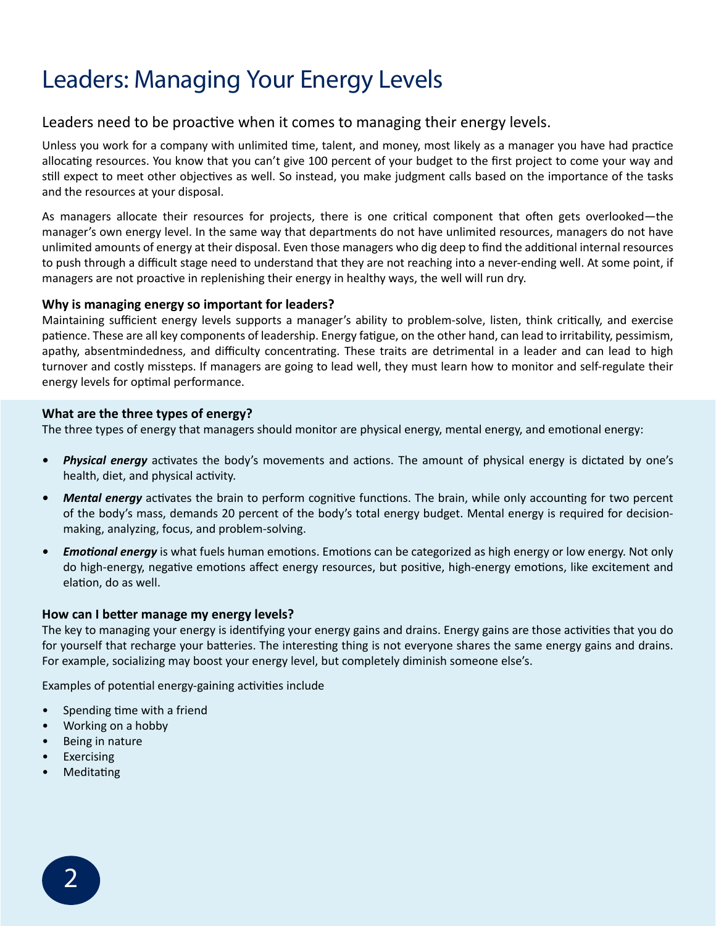### Leaders: Managing Your Energy Levels

#### Leaders need to be proactive when it comes to managing their energy levels.

Unless you work for a company with unlimited time, talent, and money, most likely as a manager you have had practice allocating resources. You know that you can't give 100 percent of your budget to the first project to come your way and still expect to meet other objectives as well. So instead, you make judgment calls based on the importance of the tasks and the resources at your disposal.

As managers allocate their resources for projects, there is one critical component that often gets overlooked—the manager's own energy level. In the same way that departments do not have unlimited resources, managers do not have unlimited amounts of energy at their disposal. Even those managers who dig deep to find the additional internal resources to push through a difficult stage need to understand that they are not reaching into a never-ending well. At some point, if managers are not proactive in replenishing their energy in healthy ways, the well will run dry.

#### **Why is managing energy so important for leaders?**

Maintaining sufficient energy levels supports a manager's ability to problem-solve, listen, think critically, and exercise patience. These are all key components of leadership. Energy fatigue, on the other hand, can lead to irritability, pessimism, apathy, absentmindedness, and difficulty concentrating. These traits are detrimental in a leader and can lead to high turnover and costly missteps. If managers are going to lead well, they must learn how to monitor and self-regulate their energy levels for optimal performance.

#### **What are the three types of energy?**

The three types of energy that managers should monitor are physical energy, mental energy, and emotional energy:

- *Physical energy* activates the body's movements and actions. The amount of physical energy is dictated by one's health, diet, and physical activity.
- *Mental energy* activates the brain to perform cognitive functions. The brain, while only accounting for two percent of the body's mass, demands 20 percent of the body's total energy budget. Mental energy is required for decisionmaking, analyzing, focus, and problem-solving.
- *Emotional energy* is what fuels human emotions. Emotions can be categorized as high energy or low energy. Not only do high-energy, negative emotions affect energy resources, but positive, high-energy emotions, like excitement and elation, do as well.

#### **How can I better manage my energy levels?**

The key to managing your energy is identifying your energy gains and drains. Energy gains are those activities that you do for yourself that recharge your batteries. The interesting thing is not everyone shares the same energy gains and drains. For example, socializing may boost your energy level, but completely diminish someone else's.

Examples of potential energy-gaining activities include

- Spending time with a friend
- Working on a hobby
- Being in nature
- **Exercising**
- **Meditating**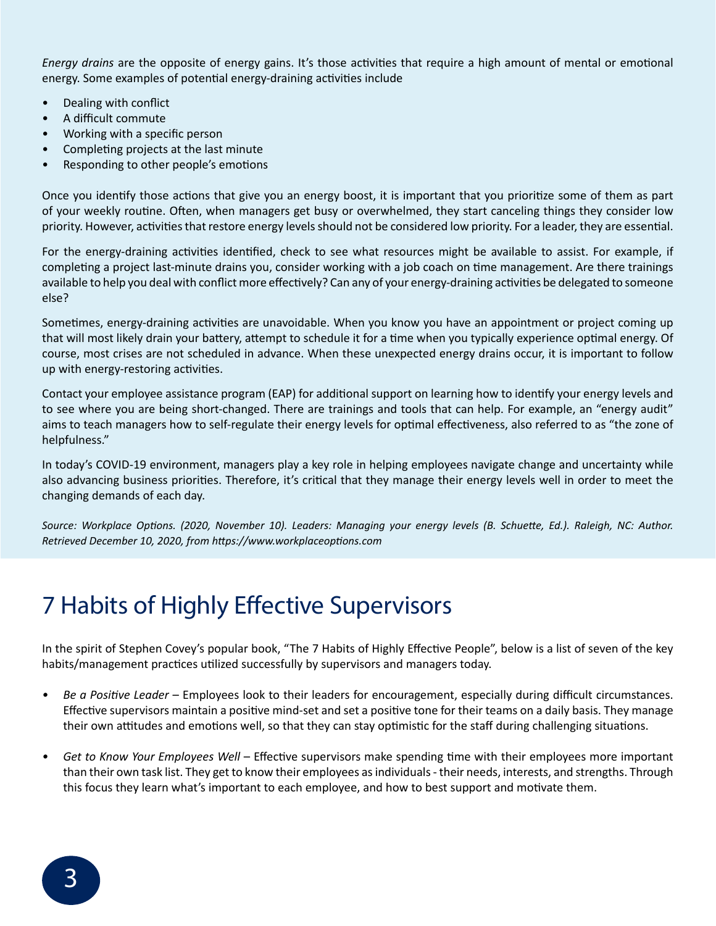*Energy drains* are the opposite of energy gains. It's those activities that require a high amount of mental or emotional energy. Some examples of potential energy-draining activities include

- Dealing with conflict
- A difficult commute
- Working with a specific person
- Completing projects at the last minute
- Responding to other people's emotions

Once you identify those actions that give you an energy boost, it is important that you prioritize some of them as part of your weekly routine. Often, when managers get busy or overwhelmed, they start canceling things they consider low priority. However, activities that restore energy levels should not be considered low priority. For a leader, they are essential.

For the energy-draining activities identified, check to see what resources might be available to assist. For example, if completing a project last-minute drains you, consider working with a job coach on time management. Are there trainings available to help you deal with conflict more effectively? Can any of your energy-draining activities be delegated to someone else?

Sometimes, energy-draining activities are unavoidable. When you know you have an appointment or project coming up that will most likely drain your battery, attempt to schedule it for a time when you typically experience optimal energy. Of course, most crises are not scheduled in advance. When these unexpected energy drains occur, it is important to follow up with energy-restoring activities.

Contact your employee assistance program (EAP) for additional support on learning how to identify your energy levels and to see where you are being short-changed. There are trainings and tools that can help. For example, an "energy audit" aims to teach managers how to self-regulate their energy levels for optimal effectiveness, also referred to as "the zone of helpfulness."

In today's COVID-19 environment, managers play a key role in helping employees navigate change and uncertainty while also advancing business priorities. Therefore, it's critical that they manage their energy levels well in order to meet the changing demands of each day.

*Source: Workplace Options. (2020, November 10). Leaders: Managing your energy levels (B. Schuette, Ed.). Raleigh, NC: Author. Retrieved December 10, 2020, from https://www.workplaceoptions.com*

### 7 Habits of Highly Effective Supervisors

In the spirit of Stephen Covey's popular book, "The 7 Habits of Highly Effective People", below is a list of seven of the key habits/management practices utilized successfully by supervisors and managers today.

- *• Be a Positive Leader* Employees look to their leaders for encouragement, especially during difficult circumstances. Effective supervisors maintain a positive mind-set and set a positive tone for their teams on a daily basis. They manage their own attitudes and emotions well, so that they can stay optimistic for the staff during challenging situations.
- *• Get to Know Your Employees Well* Effective supervisors make spending time with their employees more important than their own task list. They get to know their employees as individuals - their needs, interests, and strengths. Through this focus they learn what's important to each employee, and how to best support and motivate them.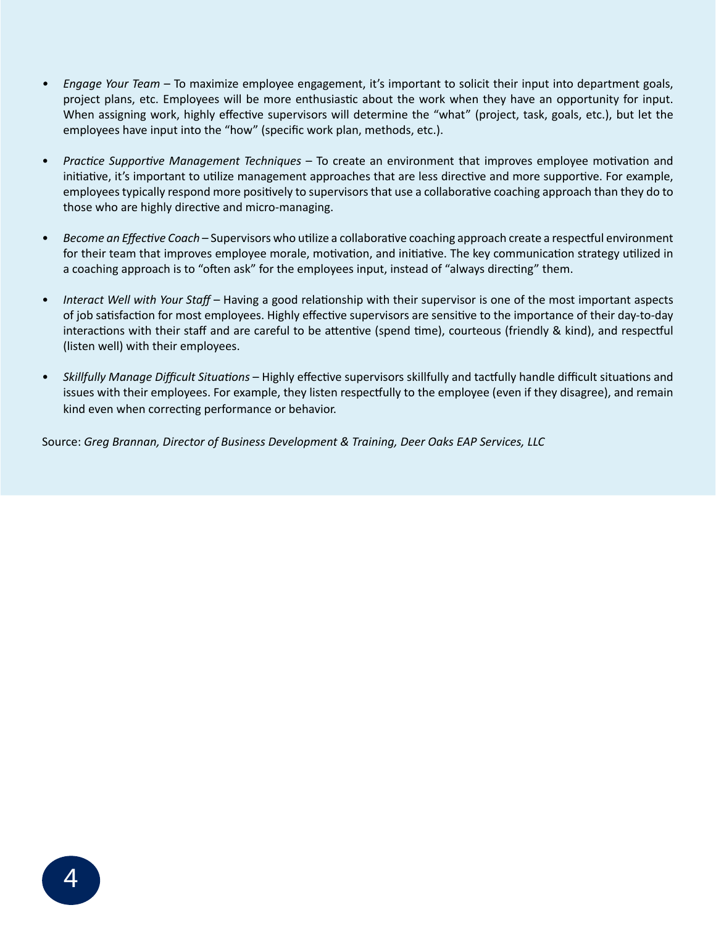- *• Engage Your Team* To maximize employee engagement, it's important to solicit their input into department goals, project plans, etc. Employees will be more enthusiastic about the work when they have an opportunity for input. When assigning work, highly effective supervisors will determine the "what" (project, task, goals, etc.), but let the employees have input into the "how" (specific work plan, methods, etc.).
- *Practice Supportive Management Techniques* To create an environment that improves employee motivation and initiative, it's important to utilize management approaches that are less directive and more supportive. For example, employees typically respond more positively to supervisors that use a collaborative coaching approach than they do to those who are highly directive and micro-managing.
- *Become an Effective Coach*  Supervisors who utilize a collaborative coaching approach create a respectful environment for their team that improves employee morale, motivation, and initiative. The key communication strategy utilized in a coaching approach is to "often ask" for the employees input, instead of "always directing" them.
- *Interact Well with Your Staff* Having a good relationship with their supervisor is one of the most important aspects of job satisfaction for most employees. Highly effective supervisors are sensitive to the importance of their day-to-day interactions with their staff and are careful to be attentive (spend time), courteous (friendly & kind), and respectful (listen well) with their employees.
- *Skillfully Manage Difficult Situations* Highly effective supervisors skillfully and tactfully handle difficult situations and issues with their employees. For example, they listen respectfully to the employee (even if they disagree), and remain kind even when correcting performance or behavior.

Source: *Greg Brannan, Director of Business Development & Training, Deer Oaks EAP Services, LLC*